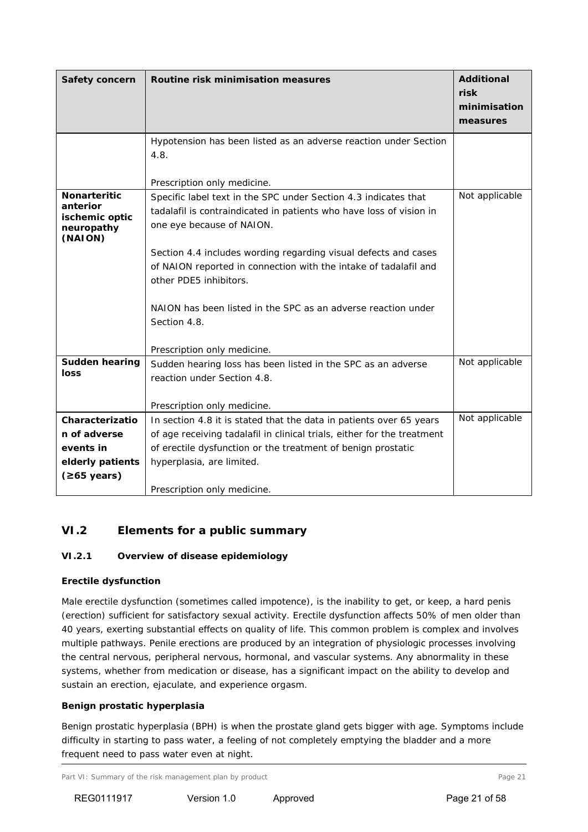# **VI.2 Elements for a public summary**

#### *VI.2.1 Overview of disease epidemiology*

#### **Erectile dysfunction**

Male erectile dysfunction (sometimes called impotence), is the inability to get, or keep, a hard penis (erection) sufficient for satisfactory sexual activity. Erectile dysfunction affects 50% of men older than 40 years, exerting substantial effects on quality of life. This common problem is complex and involves multiple pathways. Penile erections are produced by an integration of physiologic processes involving the central nervous, peripheral nervous, hormonal, and vascular systems. Any abnormality in these systems, whether from medication or disease, has a significant impact on the ability to develop and sustain an erection, ejaculate, and experience orgasm.

#### **Benign prostatic hyperplasia**

Benign prostatic hyperplasia (BPH) is when the prostate gland gets bigger with age. Symptoms include difficulty in starting to pass water, a feeling of not completely emptying the bladder and a more frequent need to pass water even at night.

Part VI: Summary of the risk management plan by product Page 21 and Page 21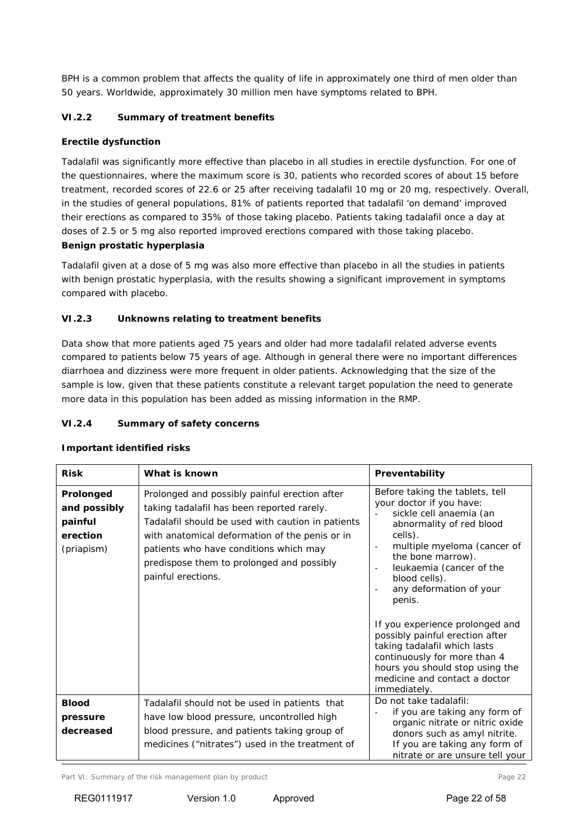BPH is a common problem that affects the quality of life in approximately one third of men older than 50 years. Worldwide, approximately 30 million men have symptoms related to BPH.

## *VI.2.2 Summary of treatment benefits*

#### **Erectile dysfunction**

Tadalafil was significantly more effective than placebo in all studies in erectile dysfunction. For one of the questionnaires, where the maximum score is 30, patients who recorded scores of about 15 before treatment, recorded scores of 22.6 or 25 after receiving tadalafil 10 mg or 20 mg, respectively. Overall, in the studies of general populations, 81% of patients reported that tadalafil 'on demand' improved their erections as compared to 35% of those taking placebo. Patients taking tadalafil once a day at doses of 2.5 or 5 mg also reported improved erections compared with those taking placebo.

## **Benign prostatic hyperplasia**

Tadalafil given at a dose of 5 mg was also more effective than placebo in all the studies in patients with benign prostatic hyperplasia, with the results showing a significant improvement in symptoms compared with placebo.

## *VI.2.3 Unknowns relating to treatment benefits*

Data show that more patients aged 75 years and older had more tadalafil related adverse events compared to patients below 75 years of age. Although in general there were no important differences diarrhoea and dizziness were more frequent in older patients. Acknowledging that the size of the sample is low, given that these patients constitute a relevant target population the need to generate more data in this population has been added as missing information in the RMP.

## *VI.2.4 Summary of safety concerns*

#### **Risk What is known Preventability Prolonged and possibly painful erection**  (priapism) Prolonged and possibly painful erection after taking tadalafil has been reported rarely. Tadalafil should be used with caution in patients with anatomical deformation of the penis or in patients who have conditions which may predispose them to prolonged and possibly painful erections. Before taking the tablets, tell your doctor if you have: sickle cell anaemia (an abnormality of red blood cells). multiple myeloma (cancer of the bone marrow). leukaemia (cancer of the blood cells). any deformation of your penis. If you experience prolonged and possibly painful erection after taking tadalafil which lasts continuously for more than 4 hours you should stop using the medicine and contact a doctor immediately. **Blood pressure decreased** Tadalafil should not be used in patients that have low blood pressure, uncontrolled high blood pressure, and patients taking group of medicines ("nitrates") used in the treatment of Do not take tadalafil: if you are taking any form of organic nitrate or nitric oxide donors such as amyl nitrite. If you are taking any form of nitrate or are unsure tell your

## **Important identified risks**

Part VI: Summary of the risk management plan by product Page 22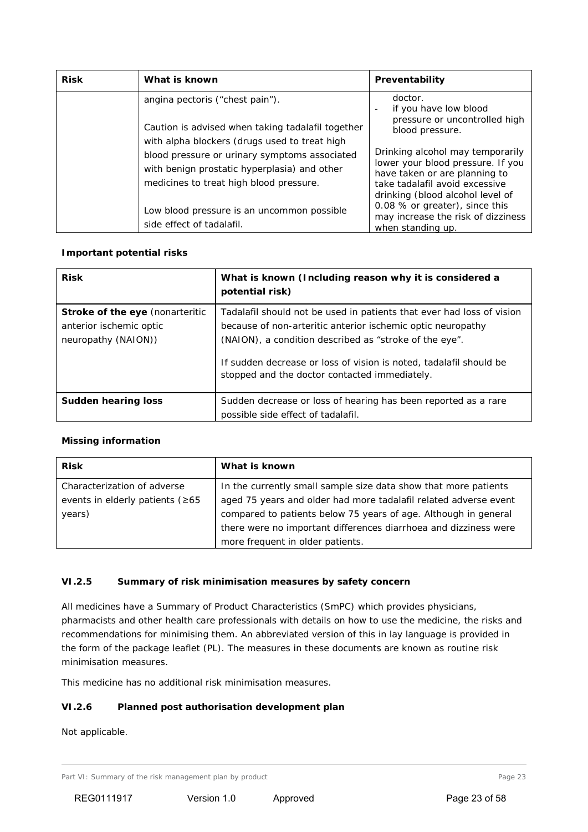| <b>Risk</b> | What is known                                                                                                                                                                                                                          | Preventability                                                                                                                                                                                   |
|-------------|----------------------------------------------------------------------------------------------------------------------------------------------------------------------------------------------------------------------------------------|--------------------------------------------------------------------------------------------------------------------------------------------------------------------------------------------------|
|             | angina pectoris ("chest pain").<br>Caution is advised when taking tadalafil together<br>with alpha blockers (drugs used to treat high<br>blood pressure or urinary symptoms associated<br>with benign prostatic hyperplasia) and other | doctor.<br>if you have low blood<br>pressure or uncontrolled high<br>blood pressure.<br>Drinking alcohol may temporarily<br>lower your blood pressure. If you                                    |
|             | medicines to treat high blood pressure.<br>Low blood pressure is an uncommon possible<br>side effect of tadalafil.                                                                                                                     | have taken or are planning to<br>take tadalafil avoid excessive<br>drinking (blood alcohol level of<br>0.08 % or greater), since this<br>may increase the risk of dizziness<br>when standing up. |

## **Important potential risks**

| <b>Risk</b>                                                                              | What is known (Including reason why it is considered a<br>potential risk)                                                                                                                                                                                                                                             |
|------------------------------------------------------------------------------------------|-----------------------------------------------------------------------------------------------------------------------------------------------------------------------------------------------------------------------------------------------------------------------------------------------------------------------|
| <b>Stroke of the eye</b> (nonarteritic<br>anterior ischemic optic<br>neuropathy (NAION)) | Tadalafil should not be used in patients that ever had loss of vision<br>because of non-arteritic anterior ischemic optic neuropathy<br>(NAION), a condition described as "stroke of the eye".<br>If sudden decrease or loss of vision is noted, tadalafil should be<br>stopped and the doctor contacted immediately. |
| Sudden hearing loss                                                                      | Sudden decrease or loss of hearing has been reported as a rare<br>possible side effect of tadalafil.                                                                                                                                                                                                                  |

## **Missing information**

| <b>Risk</b>                            | What is known                                                    |
|----------------------------------------|------------------------------------------------------------------|
| Characterization of adverse            | In the currently small sample size data show that more patients  |
| events in elderly patients ( $\geq 65$ | aged 75 years and older had more tadalafil related adverse event |
| years)                                 | compared to patients below 75 years of age. Although in general  |
|                                        | there were no important differences diarrhoea and dizziness were |
|                                        | more frequent in older patients.                                 |

# *VI.2.5 Summary of risk minimisation measures by safety concern*

All medicines have a Summary of Product Characteristics (SmPC) which provides physicians, pharmacists and other health care professionals with details on how to use the medicine, the risks and recommendations for minimising them. An abbreviated version of this in lay language is provided in the form of the package leaflet (PL). The measures in these documents are known as routine risk minimisation measures.

This medicine has no additional risk minimisation measures.

# *VI.2.6 Planned post authorisation development plan*

Not applicable.

Part VI: Summary of the risk management plan by product Page 23 and Page 23